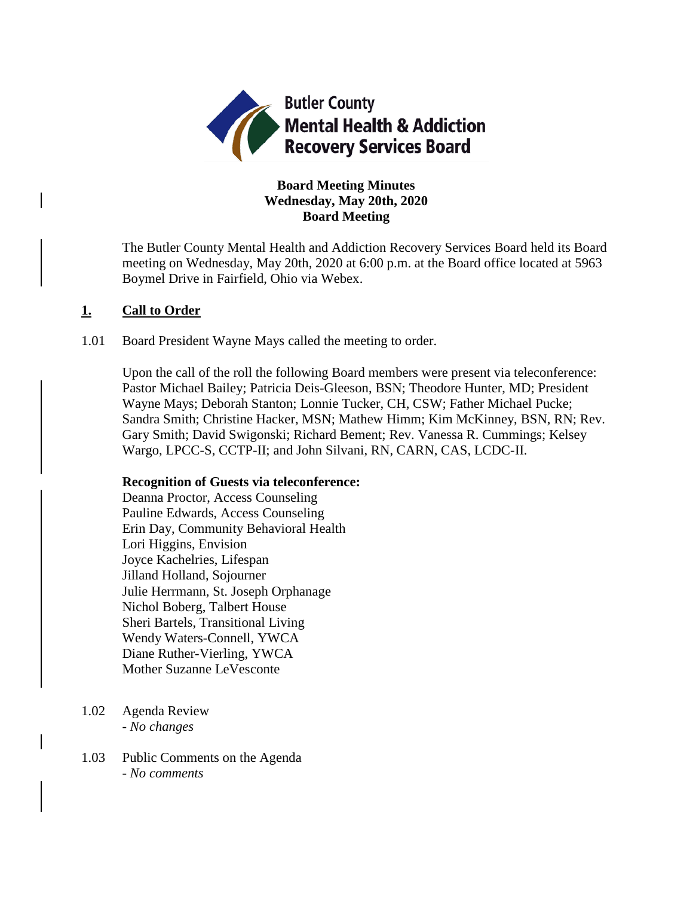

# **Board Meeting Minutes Wednesday, May 20th, 2020 Board Meeting**

The Butler County Mental Health and Addiction Recovery Services Board held its Board meeting on Wednesday, May 20th, 2020 at 6:00 p.m. at the Board office located at 5963 Boymel Drive in Fairfield, Ohio via Webex.

# **1. Call to Order**

1.01 Board President Wayne Mays called the meeting to order.

Upon the call of the roll the following Board members were present via teleconference: Pastor Michael Bailey; Patricia Deis-Gleeson, BSN; Theodore Hunter, MD; President Wayne Mays; Deborah Stanton; Lonnie Tucker, CH, CSW; Father Michael Pucke; Sandra Smith; Christine Hacker, MSN; Mathew Himm; Kim McKinney, BSN, RN; Rev. Gary Smith; David Swigonski; Richard Bement; Rev. Vanessa R. Cummings; Kelsey Wargo, LPCC-S, CCTP-II; and John Silvani, RN, CARN, CAS, LCDC-II.

# **Recognition of Guests via teleconference:**

Deanna Proctor, Access Counseling Pauline Edwards, Access Counseling Erin Day, Community Behavioral Health Lori Higgins, Envision Joyce Kachelries, Lifespan Jilland Holland, Sojourner Julie Herrmann, St. Joseph Orphanage Nichol Boberg, Talbert House Sheri Bartels, Transitional Living Wendy Waters-Connell, YWCA Diane Ruther-Vierling, YWCA Mother Suzanne LeVesconte

- 1.02 Agenda Review *- No changes*
- 1.03 Public Comments on the Agenda - *No comments*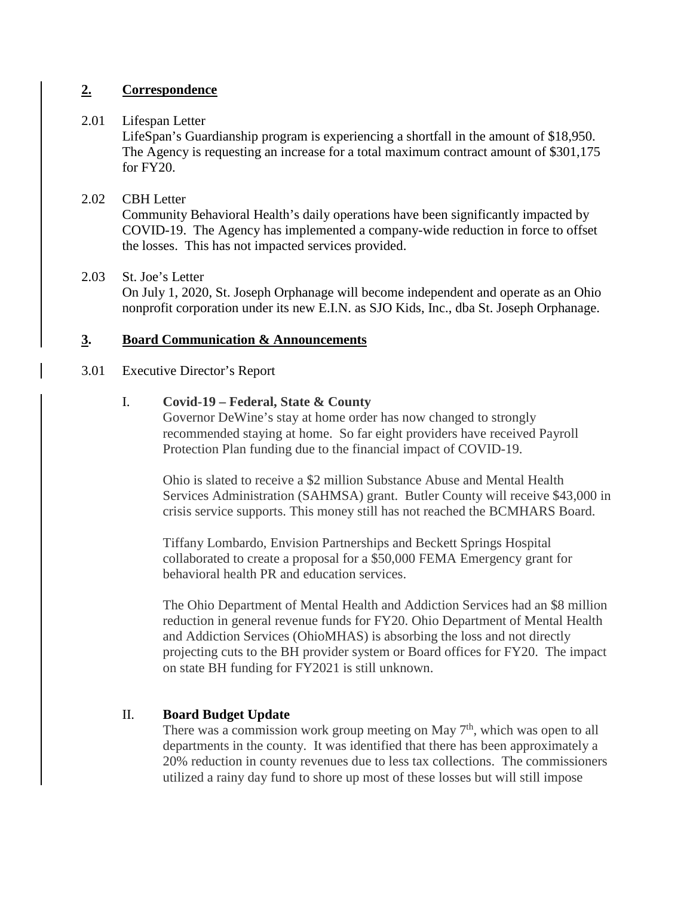# **2. Correspondence**

# 2.01 Lifespan Letter

LifeSpan's Guardianship program is experiencing a shortfall in the amount of \$18,950. The Agency is requesting an increase for a total maximum contract amount of \$301,175 for FY20.

# 2.02 CBH Letter

Community Behavioral Health's daily operations have been significantly impacted by COVID-19. The Agency has implemented a company-wide reduction in force to offset the losses. This has not impacted services provided.

# 2.03 St. Joe's Letter

On July 1, 2020, St. Joseph Orphanage will become independent and operate as an Ohio nonprofit corporation under its new E.I.N. as SJO Kids, Inc., dba St. Joseph Orphanage.

# **3. Board Communication & Announcements**

## 3.01 Executive Director's Report

# I. **Covid-19 – Federal, State & County**

Governor DeWine's stay at home order has now changed to strongly recommended staying at home. So far eight providers have received Payroll Protection Plan funding due to the financial impact of COVID-19.

Ohio is slated to receive a \$2 million Substance Abuse and Mental Health Services Administration (SAHMSA) grant. Butler County will receive \$43,000 in crisis service supports. This money still has not reached the BCMHARS Board.

Tiffany Lombardo, Envision Partnerships and Beckett Springs Hospital collaborated to create a proposal for a \$50,000 FEMA Emergency grant for behavioral health PR and education services.

The Ohio Department of Mental Health and Addiction Services had an \$8 million reduction in general revenue funds for FY20. Ohio Department of Mental Health and Addiction Services (OhioMHAS) is absorbing the loss and not directly projecting cuts to the BH provider system or Board offices for FY20. The impact on state BH funding for FY2021 is still unknown.

# II. **Board Budget Update**

There was a commission work group meeting on May  $7<sup>th</sup>$ , which was open to all departments in the county. It was identified that there has been approximately a 20% reduction in county revenues due to less tax collections. The commissioners utilized a rainy day fund to shore up most of these losses but will still impose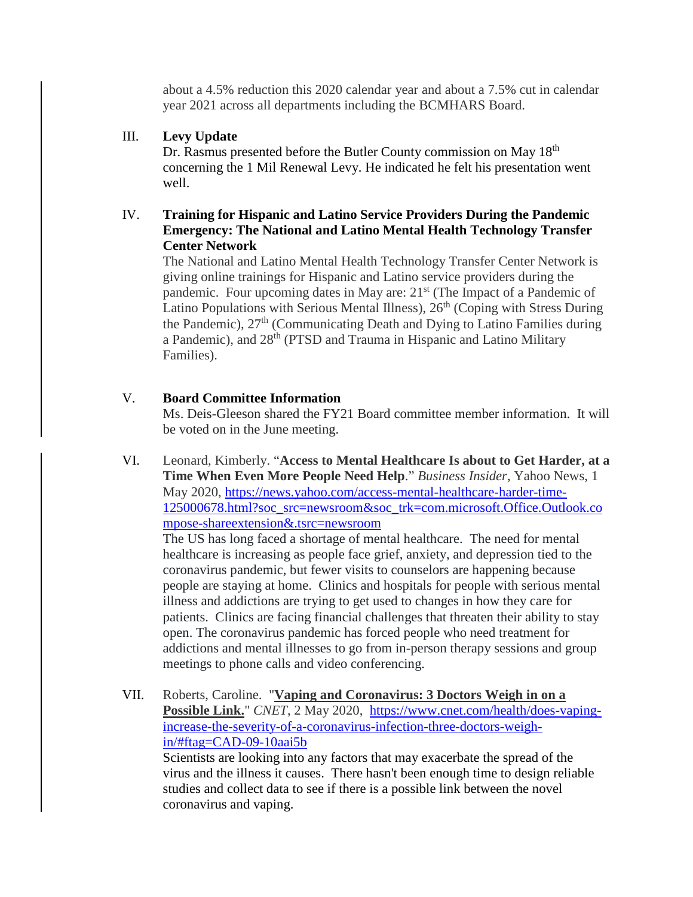about a 4.5% reduction this 2020 calendar year and about a 7.5% cut in calendar year 2021 across all departments including the BCMHARS Board.

# III. **Levy Update**

Dr. Rasmus presented before the Butler County commission on May 18<sup>th</sup> concerning the 1 Mil Renewal Levy. He indicated he felt his presentation went well.

# IV. **Training for Hispanic and Latino Service Providers During the Pandemic Emergency: The National and Latino Mental Health Technology Transfer Center Network**

The National and Latino Mental Health Technology Transfer Center Network is giving online trainings for Hispanic and Latino service providers during the pandemic. Four upcoming dates in May are:  $21<sup>st</sup>$  (The Impact of a Pandemic of Latino Populations with Serious Mental Illness),  $26<sup>th</sup>$  (Coping with Stress During the Pandemic), 27<sup>th</sup> (Communicating Death and Dying to Latino Families during a Pandemic), and 28<sup>th</sup> (PTSD and Trauma in Hispanic and Latino Military Families).

# V. **Board Committee Information**

Ms. Deis-Gleeson shared the FY21 Board committee member information. It will be voted on in the June meeting.

VI. Leonard, Kimberly. "**Access to Mental Healthcare Is about to Get Harder, at a Time When Even More People Need Help**." *Business Insider*, Yahoo News, 1 May 2020, [https://news.yahoo.com/access-mental-healthcare-harder-time-](https://news.yahoo.com/access-mental-healthcare-harder-time-125000678.html?soc_src=newsroom&soc_trk=com.microsoft.Office.Outlook.compose-shareextension&.tsrc=newsroom)[125000678.html?soc\\_src=newsroom&soc\\_trk=com.microsoft.Office.Outlook.co](https://news.yahoo.com/access-mental-healthcare-harder-time-125000678.html?soc_src=newsroom&soc_trk=com.microsoft.Office.Outlook.compose-shareextension&.tsrc=newsroom) [mpose-shareextension&.tsrc=newsroom](https://news.yahoo.com/access-mental-healthcare-harder-time-125000678.html?soc_src=newsroom&soc_trk=com.microsoft.Office.Outlook.compose-shareextension&.tsrc=newsroom)

The US has long faced a shortage of mental healthcare. The need for mental healthcare is increasing as people face grief, anxiety, and depression tied to the coronavirus pandemic, but fewer visits to counselors are happening because people are staying at home. Clinics and hospitals for people with serious mental illness and addictions are trying to get used to changes in how they care for patients. Clinics are facing financial challenges that threaten their ability to stay open. The coronavirus pandemic has forced people who need treatment for addictions and mental illnesses to go from in-person therapy sessions and group meetings to phone calls and video conferencing.

VII. Roberts, Caroline. "**Vaping and Coronavirus: 3 Doctors Weigh in on a Possible Link.**" *CNET*, 2 May 2020, [https://www.cnet.com/health/does-vaping](https://www.cnet.com/health/does-vaping-increase-the-severity-of-a-coronavirus-infection-three-doctors-weigh-in/#ftag=CAD-09-10aai5b)[increase-the-severity-of-a-coronavirus-infection-three-doctors-weigh](https://www.cnet.com/health/does-vaping-increase-the-severity-of-a-coronavirus-infection-three-doctors-weigh-in/#ftag=CAD-09-10aai5b)[in/#ftag=CAD-09-10aai5b](https://www.cnet.com/health/does-vaping-increase-the-severity-of-a-coronavirus-infection-three-doctors-weigh-in/#ftag=CAD-09-10aai5b)

Scientists are looking into any factors that may exacerbate the [spread of the](https://www.cnet.com/news/coronavirus-how-to-track-the-spread-across-the-world-as-deaths-top-200000/)  [virus](https://www.cnet.com/news/coronavirus-how-to-track-the-spread-across-the-world-as-deaths-top-200000/) and the [illness it causes.](https://www.cnet.com/news/every-coronavirus-symptom-you-can-have-according-to-the-cdc/) There hasn't been enough time to design reliable studies and collect data to see if there is a possible link between the novel coronavirus and vaping.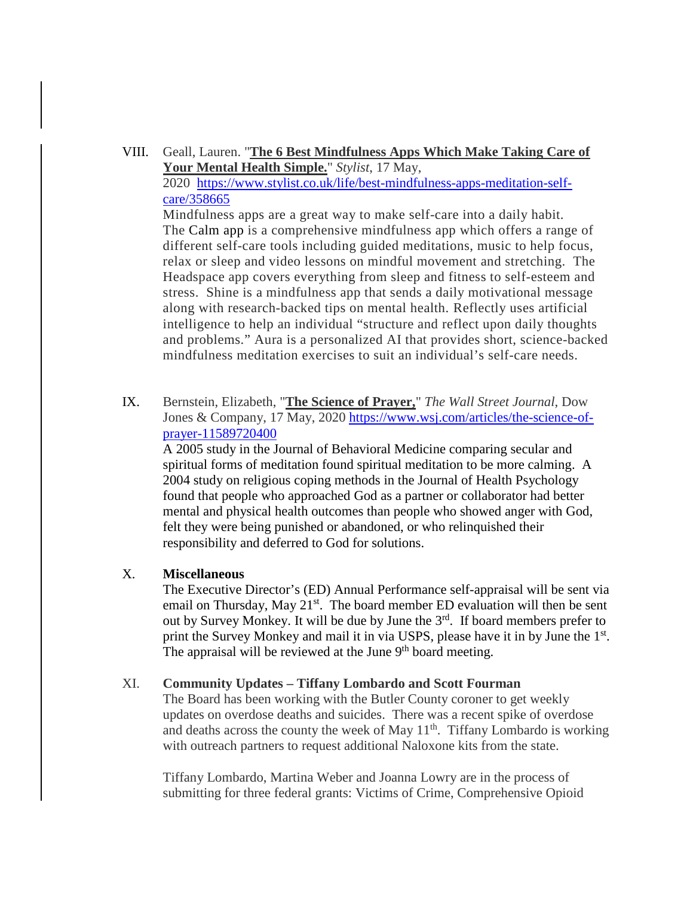- VIII. Geall, Lauren. "**The 6 Best Mindfulness Apps Which Make Taking Care of Your Mental Health Simple.**" *Stylist*, 17 May, 2020 [https://www.stylist.co.uk/life/best-mindfulness-apps-meditation-self](https://www.stylist.co.uk/life/best-mindfulness-apps-meditation-self-care/358665)[care/358665](https://www.stylist.co.uk/life/best-mindfulness-apps-meditation-self-care/358665) Mindfulness apps are a great way to make self-care into a daily habit. The [Calm app](https://www.calm.com/) is a comprehensive mindfulness app which offers a range of different self-care tools including guided meditations, music to help focus, relax or sleep and video lessons on mindful movement and stretching. The Headspace app covers everything from sleep and fitness to self-esteem and stress. Shine is a mindfulness app that sends a daily motivational message along with research-backed tips on mental health. Reflectly uses artificial intelligence to help an individual "structure and reflect upon daily thoughts and problems." Aura is a personalized AI that provides short, science-backed mindfulness meditation exercises to suit an individual's self-care needs.
- IX. Bernstein, Elizabeth, "**The Science of Prayer,**" *The Wall Street Journal*, Dow Jones & Company, 17 May, 2020 [https://www.wsj.com/articles/the-science-of](https://www.wsj.com/articles/the-science-of-prayer-11589720400)[prayer-11589720400](https://www.wsj.com/articles/the-science-of-prayer-11589720400)

A 2005 study in the Journal of Behavioral Medicine comparing secular and spiritual forms of meditation found spiritual meditation to be more calming. A 2004 study on religious coping methods in the Journal of Health Psychology found that people who approached God as a partner or collaborator had better mental and physical health outcomes than people who showed anger with God, felt they were being punished or abandoned, or who relinquished their responsibility and deferred to God for solutions.

### X. **Miscellaneous**

The Executive Director's (ED) Annual Performance self-appraisal will be sent via email on Thursday, May  $21^{st}$ . The board member ED evaluation will then be sent out by Survey Monkey. It will be due by June the 3<sup>rd</sup>. If board members prefer to print the Survey Monkey and mail it in via USPS, please have it in by June the 1<sup>st</sup>. The appraisal will be reviewed at the June  $9<sup>th</sup>$  board meeting.

### XI. **Community Updates – Tiffany Lombardo and Scott Fourman**

The Board has been working with the Butler County coroner to get weekly updates on overdose deaths and suicides. There was a recent spike of overdose and deaths across the county the week of May  $11<sup>th</sup>$ . Tiffany Lombardo is working with outreach partners to request additional Naloxone kits from the state.

Tiffany Lombardo, Martina Weber and Joanna Lowry are in the process of submitting for three federal grants: Victims of Crime, Comprehensive Opioid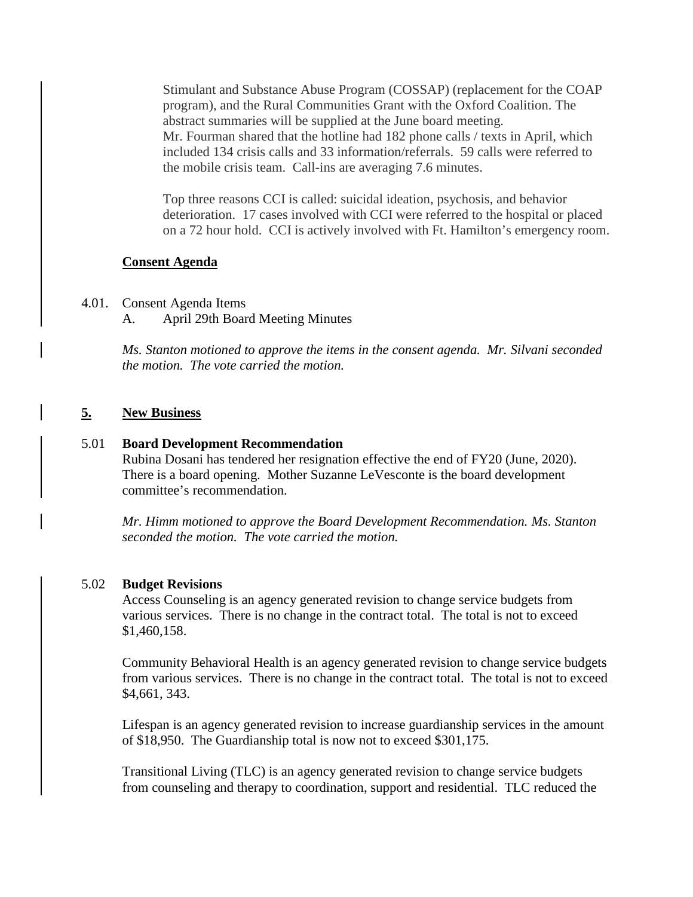Stimulant and Substance Abuse Program (COSSAP) (replacement for the COAP program), and the Rural Communities Grant with the Oxford Coalition. The abstract summaries will be supplied at the June board meeting. Mr. Fourman shared that the hotline had 182 phone calls / texts in April, which included 134 crisis calls and 33 information/referrals. 59 calls were referred to the mobile crisis team. Call-ins are averaging 7.6 minutes.

Top three reasons CCI is called: suicidal ideation, psychosis, and behavior deterioration. 17 cases involved with CCI were referred to the hospital or placed on a 72 hour hold. CCI is actively involved with Ft. Hamilton's emergency room.

### **Consent Agenda**

### 4.01. Consent Agenda Items

A. April 29th Board Meeting Minutes

*Ms. Stanton motioned to approve the items in the consent agenda. Mr. Silvani seconded the motion. The vote carried the motion.*

### **5. New Business**

#### 5.01 **Board Development Recommendation**

Rubina Dosani has tendered her resignation effective the end of FY20 (June, 2020). There is a board opening. Mother Suzanne LeVesconte is the board development committee's recommendation.

*Mr. Himm motioned to approve the Board Development Recommendation. Ms. Stanton seconded the motion. The vote carried the motion.*

#### 5.02 **Budget Revisions**

Access Counseling is an agency generated revision to change service budgets from various services. There is no change in the contract total. The total is not to exceed \$1,460,158.

Community Behavioral Health is an agency generated revision to change service budgets from various services. There is no change in the contract total. The total is not to exceed \$4,661, 343.

Lifespan is an agency generated revision to increase guardianship services in the amount of \$18,950. The Guardianship total is now not to exceed \$301,175.

Transitional Living (TLC) is an agency generated revision to change service budgets from counseling and therapy to coordination, support and residential. TLC reduced the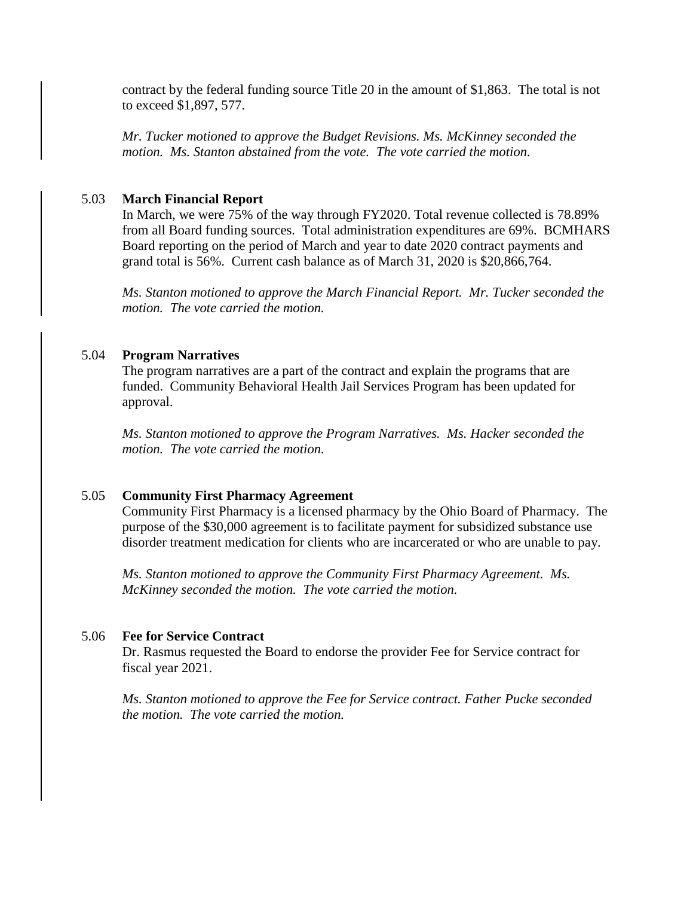contract by the federal funding source Title 20 in the amount of \$1,863. The total is not to exceed \$1,897, 577.

*Mr. Tucker motioned to approve the Budget Revisions. Ms. McKinney seconded the motion. Ms. Stanton abstained from the vote. The vote carried the motion.*

#### 5.03 **March Financial Report**

In March, we were 75% of the way through FY2020. Total revenue collected is 78.89% from all Board funding sources. Total administration expenditures are 69%. BCMHARS Board reporting on the period of March and year to date 2020 contract payments and grand total is 56%. Current cash balance as of March 31, 2020 is \$20,866,764.

*Ms. Stanton motioned to approve the March Financial Report. Mr. Tucker seconded the motion. The vote carried the motion.* 

### 5.04 **Program Narratives**

The program narratives are a part of the contract and explain the programs that are funded. Community Behavioral Health Jail Services Program has been updated for approval.

*Ms. Stanton motioned to approve the Program Narratives. Ms. Hacker seconded the motion. The vote carried the motion.*

### 5.05 **Community First Pharmacy Agreement**

Community First Pharmacy is a licensed pharmacy by the Ohio Board of Pharmacy. The purpose of the \$30,000 agreement is to facilitate payment for subsidized substance use disorder treatment medication for clients who are incarcerated or who are unable to pay.

*Ms. Stanton motioned to approve the Community First Pharmacy Agreement. Ms. McKinney seconded the motion. The vote carried the motion.*

#### 5.06 **Fee for Service Contract**

Dr. Rasmus requested the Board to endorse the provider Fee for Service contract for fiscal year 2021.

*Ms. Stanton motioned to approve the Fee for Service contract. Father Pucke seconded the motion. The vote carried the motion.*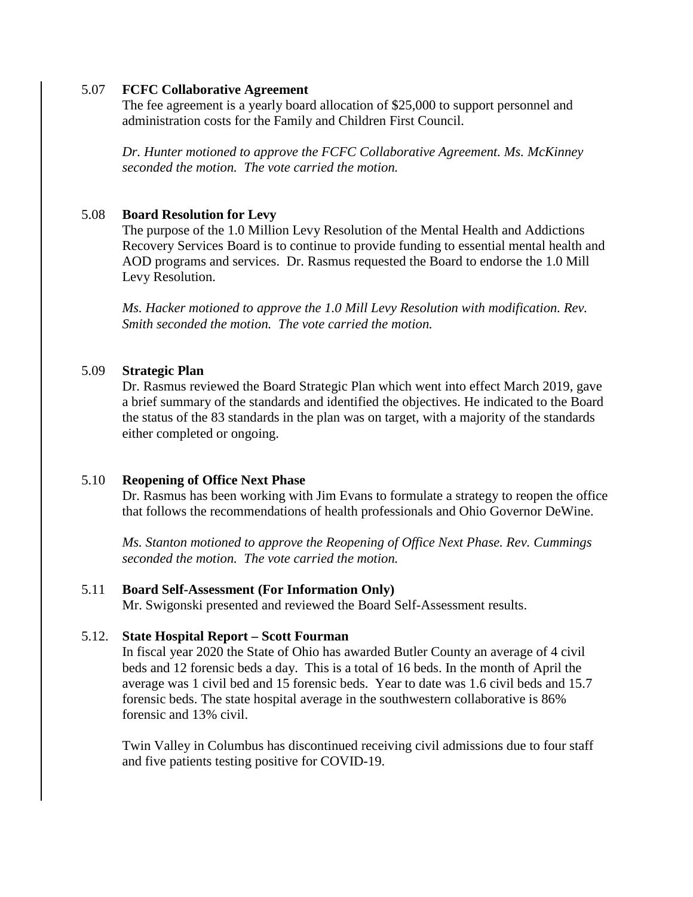### 5.07 **FCFC Collaborative Agreement**

The fee agreement is a yearly board allocation of \$25,000 to support personnel and administration costs for the Family and Children First Council.

*Dr. Hunter motioned to approve the FCFC Collaborative Agreement. Ms. McKinney seconded the motion. The vote carried the motion.*

## 5.08 **Board Resolution for Levy**

The purpose of the 1.0 Million Levy Resolution of the Mental Health and Addictions Recovery Services Board is to continue to provide funding to essential mental health and AOD programs and services. Dr. Rasmus requested the Board to endorse the 1.0 Mill Levy Resolution.

*Ms. Hacker motioned to approve the 1.0 Mill Levy Resolution with modification. Rev. Smith seconded the motion. The vote carried the motion.*

# 5.09 **Strategic Plan**

Dr. Rasmus reviewed the Board Strategic Plan which went into effect March 2019, gave a brief summary of the standards and identified the objectives. He indicated to the Board the status of the 83 standards in the plan was on target, with a majority of the standards either completed or ongoing.

## 5.10 **Reopening of Office Next Phase**

Dr. Rasmus has been working with Jim Evans to formulate a strategy to reopen the office that follows the recommendations of health professionals and Ohio Governor DeWine.

*Ms. Stanton motioned to approve the Reopening of Office Next Phase. Rev. Cummings seconded the motion. The vote carried the motion.*

## 5.11 **Board Self-Assessment (For Information Only)**

Mr. Swigonski presented and reviewed the Board Self-Assessment results.

## 5.12. **State Hospital Report – Scott Fourman**

In fiscal year 2020 the State of Ohio has awarded Butler County an average of 4 civil beds and 12 forensic beds a day. This is a total of 16 beds. In the month of April the average was 1 civil bed and 15 forensic beds. Year to date was 1.6 civil beds and 15.7 forensic beds. The state hospital average in the southwestern collaborative is 86% forensic and 13% civil.

Twin Valley in Columbus has discontinued receiving civil admissions due to four staff and five patients testing positive for COVID-19.